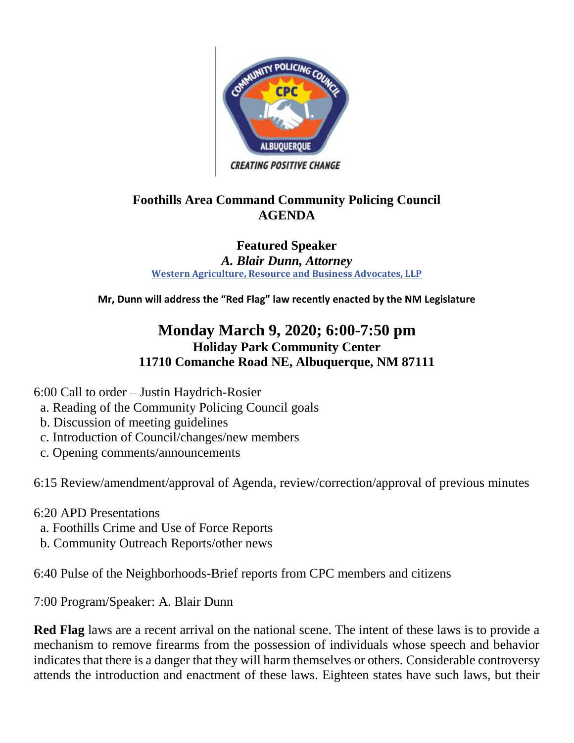

### **Foothills Area Command Community Policing Council AGENDA**

#### **Featured Speaker** *A. Blair Dunn, Attorney* **[Western Agriculture, Resource and Business Advocates, LLP](https://www.facebook.com/WARBA.LLP.USA/?hc_ref=ARQ92uoIOJms9CDCmNcUBh58kG93q5GGRQ8Z3svD3KlDC7_FLasOETBR0Lb0vVlKIQA&fref=nf&__xts__%5B0%5D=68.ARDAHVKkLTzOZ4VtQaq4fvDzhHHNHckurVt8PctpV6pEQwYMnVWrQ0ALoKeD-t7Uj_pi_zu2dMplWmM1vop9_5wpKZcCFG1g2gFaOMs44pUsnH4tTPApnWPotYKN7T4NOQZsto6HWtw-h1d1YNgCrjcCyj-jkUmvdqG8H9NPgcLf_SUT0EGYtJmXev65NknjXxWjw4H3bqGx8Z9e3ORp1KqQ7mir1xtECUa0xNZaqZO7D3c55sEF8pYbi3XA8diVktLg0M3rWo17vFdU86uk8xjdjI1cesW0Z5HxECwu6MrjrPPLx4uiJvwFlFTDba5HiBvYtyRG0xv69fJjwrA9ZAkQtQhuUWcBxJ2M2xJG0_S0Z5v-VhPKP9T12exbJN_BGnEjKfWhnU4RHOsqH_1xOEEDhZkf-kzti6k8cIfPk0u4YujwoHddpTq9YcmOrwJ_KpYJdpsHaasZwQG7tmdFMvX0MghFaGNRfmcky6Z3J3TMjJjtNTuR6nOc&__tn__=kCH-R)**

**Mr, Dunn will address the "Red Flag" law recently enacted by the NM Legislature**

# **Monday March 9, 2020; 6:00-7:50 pm Holiday Park Community Center 11710 Comanche Road NE, Albuquerque, NM 87111**

6:00 Call to order – Justin Haydrich-Rosier

- a. Reading of the Community Policing Council goals
- b. Discussion of meeting guidelines
- c. Introduction of Council/changes/new members
- c. Opening comments/announcements

6:15 Review/amendment/approval of Agenda, review/correction/approval of previous minutes

6:20 APD Presentations

- a. Foothills Crime and Use of Force Reports
- b. Community Outreach Reports/other news

6:40 Pulse of the Neighborhoods-Brief reports from CPC members and citizens

7:00 Program/Speaker: A. Blair Dunn

**Red Flag** laws are a recent arrival on the national scene. The intent of these laws is to provide a mechanism to remove firearms from the possession of individuals whose speech and behavior indicates that there is a danger that they will harm themselves or others. Considerable controversy attends the introduction and enactment of these laws. Eighteen states have such laws, but their